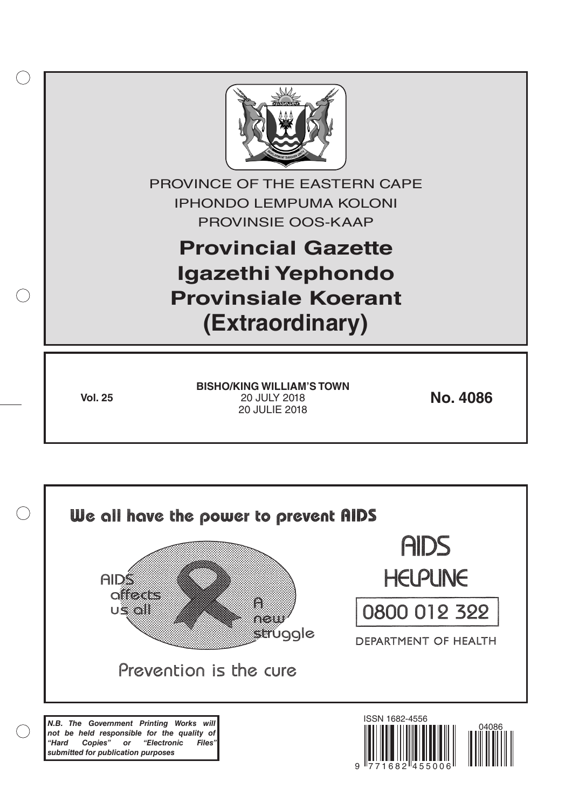

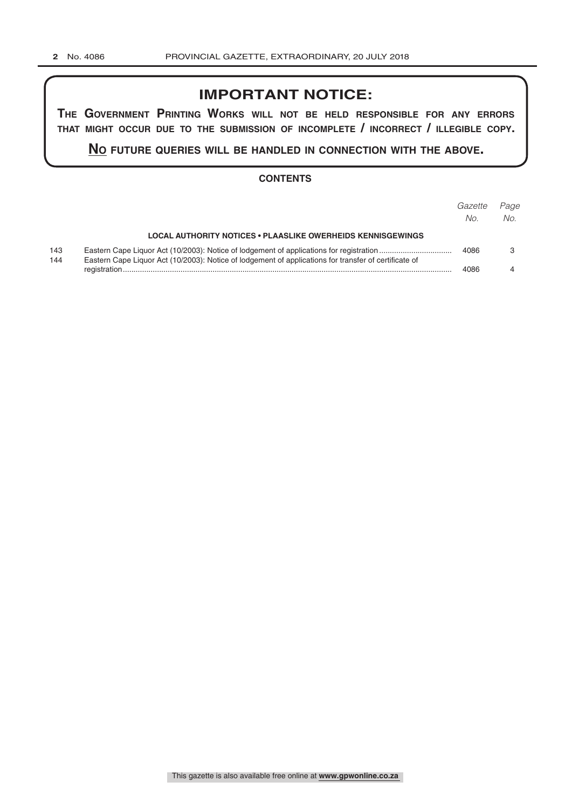# **IMPORTANT NOTICE:**

**The GovernmenT PrinTinG Works Will noT be held resPonsible for any errors ThaT miGhT occur due To The submission of incomPleTe / incorrecT / illeGible coPy.**

**no fuTure queries Will be handled in connecTion WiTh The above.**

## **CONTENTS**

|            |                                                                                                       | Gazette<br>No. | Page<br>No. |
|------------|-------------------------------------------------------------------------------------------------------|----------------|-------------|
|            | <b>LOCAL AUTHORITY NOTICES • PLAASLIKE OWERHEIDS KENNISGEWINGS</b>                                    |                |             |
| 143<br>144 | Eastern Cape Liquor Act (10/2003): Notice of lodgement of applications for transfer of certificate of | 4086           |             |
|            |                                                                                                       | 4086           |             |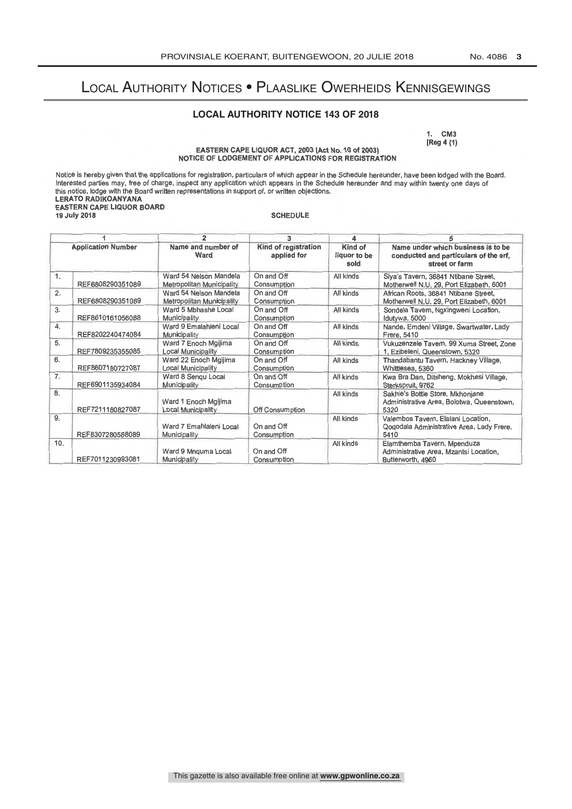# Local Authority Notices • Plaaslike Owerheids Kennisgewings

## **LOCAL AUTHORITY NOTICE 143 OF 2018**

1. CM3  $[Reg 4 (1)]$ 

EASTERN CAPE LIQUOR ACT, 2003 (Act No. 10 of 2003)<br>NOTICE OF LODGEMENT OF APPLICATIONS FOR REGISTRATION NOTICE OF LODGEMENT OF APPLICATIONS FOR REGISTRATION

Notice is nervely given that the applications for registration, particulars of which appear in the Schedule hereunder, have been louged with the Board.<br>Interested parties may, free of charge, inspect any application which EASTERN CAPE LIQUOR BOARD 19 July 2018 SCHEDULE

| <b>Application Number</b> |                  |                                                            |                                     |                                 | Name under which business is to be<br>conducted and particulars of the erf,<br>street or farm |  |
|---------------------------|------------------|------------------------------------------------------------|-------------------------------------|---------------------------------|-----------------------------------------------------------------------------------------------|--|
|                           |                  | Name and number of<br>Ward                                 | Kind of registration<br>applied for | Kind of<br>liquor to be<br>sold |                                                                                               |  |
| 1.                        | REF6808290351089 | Ward 54 Nelson Mandela<br><b>Metropolitan Municipality</b> | On and Off<br>Consumption           | All kinds                       | Siya's Tavern, 36841 Ntibane Street,<br>Motherwell N.U. 29. Port Elizabeth, 6001              |  |
| 2.                        | REF6808290351089 | Ward 54 Nelson Mandela<br><b>Metropolitan Municipality</b> | On and Off<br>Consumption           | All kinds                       | African Roots, 36841 Ntibane Street,<br>Motherwell N.U. 29, Port Elizabeth, 6001              |  |
| 3.                        | REF8610161056088 | Ward 5 Mbhashe Local<br>Municipality                       | On and Off<br>Consumption           | All kinds                       | Sondela Tavern, Ngxingweni Location,<br>Idutywa, 5000                                         |  |
| 4.                        | REF8202240474084 | Ward 9 Emalahleni Local<br>Municipality                    | On and Off<br>Consumption           | All kinds                       | Nande, Emdeni Village, Swartwater, Lady<br>Frere, 5410                                        |  |
| 5.                        | REF7809235355085 | Ward 7 Enoch Mgijima<br>Local Municipality                 | On and Off<br>Consumption           | All kinds                       | Vukuzenzele Tavern, 99 Xuma Street, Zone<br>1, Ezibeleni, Queenstown, 5320                    |  |
| 6.                        | REF8607180727087 | Ward 22 Enoch Mgijima<br>Local Municipality                | On and Off<br>Consumption           | All kinds                       | Thandabantu Tavern, Hackney Village,<br>Whittlesea, 5360                                      |  |
| 7.                        | REF6901135934084 | Ward 8 Sengu Local<br>Municipality                         | On and Off<br>Consumption           | All kinds                       | Kwa Bra Dan, Ditsheng, Mokhesi Village,<br>Sterkspruit, 9762                                  |  |
| 8.                        | REF7211180827087 | Ward 1 Enoch Mgijima<br>Local Municipality                 | Off Consumption                     | All kinds                       | Sakhie's Bottle Store, Mkhonjane<br>Administrative Area, Bolotwa, Queenstown,<br>5320         |  |
| 9.                        | REF8307280588089 | Ward 7 Emahlaleni Local<br>Municipality                    | On and Off<br>Consumption           | All kinds                       | Valembos Tavem, Elalani Location,<br>Qoqodala Administrative Area, Lady Frere,<br>5410        |  |
| 10.                       | REF7011230993081 | Ward 9 Mnquma Local<br>Municipality                        | On and Off<br>Consumption           | All kinds                       | Elamthemba Tavern, Mpenduza<br>Administrative Area, Mzantsi Location,<br>Butterworth, 4960    |  |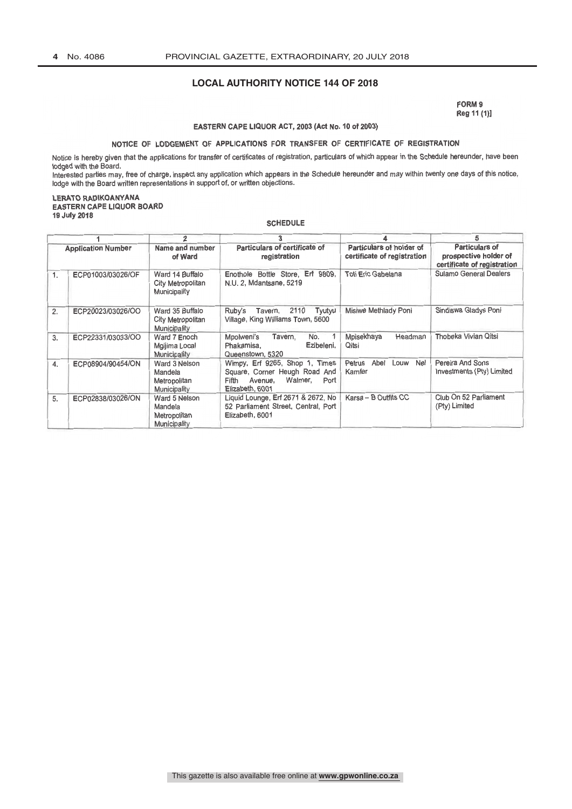### **LOCAL AUTHORITY NOTICE 144 OF 2018**

FORM 9 Reg 11 (1)]

### EASTERN CAPE LIQUOR ACT, 2003 (Act No. 10 of 2003)

## NOTICE OF LODGEMENT OF APPLICATIONS FOR TRANSFER OF CERTIFICATE OF REGISTRATION

Notice is hereby given that the applications for transfer of certificates of registration, particulars of which appear in the Schedule hereunder, have been<br>lodged with the Board.

Interested parties may, free of charge, inspect any approactor which appears in the Schedule Hereundor and may within tworky one days or the house,<br>lodge with the Board written representations in support of, or written obj

### LERATO RADIKOANYANA EASTERN CAPE LIQUOR BOARD 19 July 2018

SCHEDULE 1987 - START 1988

| <b>Application Number</b> |                   | Particulars of certificate of<br>Name and number<br>registration<br>of Ward |                                                                                                                           |                                                         | <b>Particulars of</b><br>prospective holder of<br>certificate of registration |
|---------------------------|-------------------|-----------------------------------------------------------------------------|---------------------------------------------------------------------------------------------------------------------------|---------------------------------------------------------|-------------------------------------------------------------------------------|
|                           |                   |                                                                             |                                                                                                                           | Particulars of holder of<br>certificate of registration |                                                                               |
| 1.                        | ECP01003/03026/OF | Ward 14 Buffalo<br>City Metropolitan<br>Municipality                        | Enothole Bottle Store, Erf 9809,<br>N.U. 2, Mdantsane, 5219                                                               | <b>Toti Eric Gabelana</b>                               | <b>Sulamo General Dealers</b>                                                 |
| 2.                        | ECP20023/03026/OO | Ward 35 Buffalo<br>City Metropolitan<br>Municipality                        | Ruby's Tavern, 2110 Tyutyu<br>Village, King Williams Town, 5600                                                           | Misiwe Methlady Poni                                    | Sindiswa Gladys Poni                                                          |
| 3.                        | ECP22331/03033/OO | Ward 7 Enoch<br>Mgijima Local<br>Municipality                               | Tavern,<br>No.<br>Mpolweni's<br>Ezibeleni.<br>Phakamisa,<br>Queenstown, 5320                                              | Mpisekhaya<br>Headman<br>Qitsi                          | Thobeka Vivian Qitsi                                                          |
| 4.                        | ECP08904/90454/ON | Ward 3 Nelson<br>Mandela<br>Metropolitan<br>Municipality                    | Wimpy, Erf 9265, Shop 1, Times<br>Square, Corner Heugh Road And<br>Walmer,<br>Fifth<br>Avenue,<br>Port<br>Elizabeth, 6001 | Louw Nel<br>Abel<br>Petrus<br>Kamfer                    | Pereira And Sons<br>Investments (Pty) Limited                                 |
| 5.                        | ECP02838/03026/ON | Ward 5 Nelson<br>Mandela<br>Metropolitan<br>Municipality                    | Liquid Lounge, Erf 2671 & 2672, No<br>52 Parliament Street, Central, Port<br>Elizabeth, 6001                              | Karsa - B Outfits CC                                    | Club On 52 Parliament<br>(Pty) Limited                                        |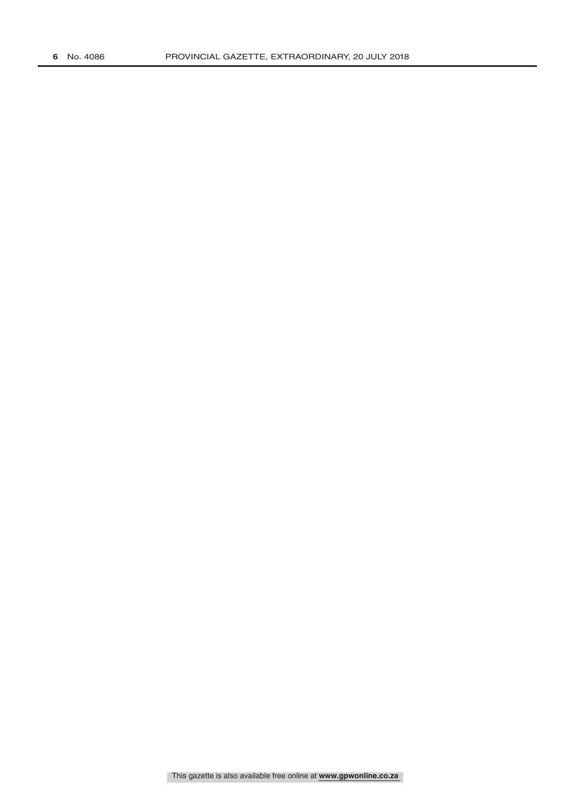This gazette is also available free online at **www.gpwonline.co.za**